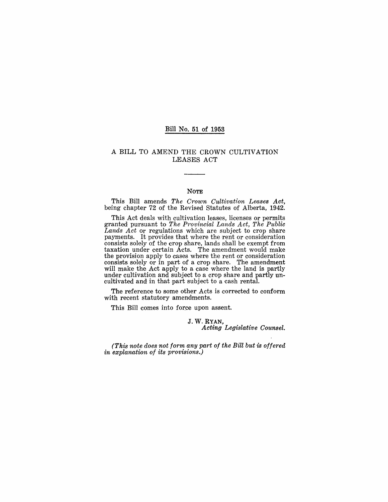#### Bill No. 51 of 1953

### A BILL TO AMEND THE CROWN CULTIVATION LEASES ACT

#### NOTE

This Bill amends *The Crown Cultivation Leases Act,*  being chapter 72 of the Revised Statutes of Alberta, 1942.

This Act deals with cultivation leases, lieenses or permits granted pursuant to. *The Provincial Lands Act, The Public Lands Act* or regulations which are subject to crop share payments. It provides that where the rent or consideration consists solely of the crop share, lands shall be exempt from taxation under certain Acts. The amendment would make the provision apply to cases where the rent or consideration consists solely or in part of a crop share. The amendment will make the Act apply to a case where the land is partly under cultivation and subject to a crop share and partly uncultivated and in that part subject to a cash rental.

The reference to some other Acts is corrected to conform with recent statutory amendments.

This Bill comes into force upon assent.

J. W. RYAN, *Acting Legislative Counsel.* 

*(This note does not form any part of the Bill but* is *offered in explanation of its provisions.)*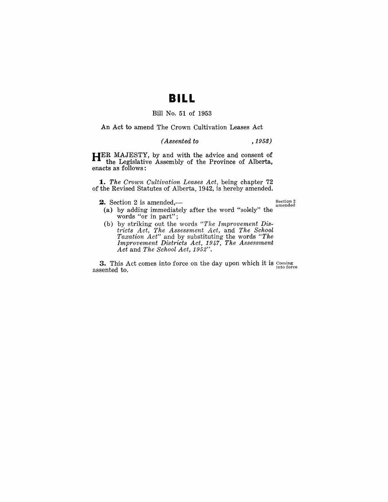# **BILL**

# Bill No.. 51 of 1953

An Act to amend The Crown Cultivation Leases Act

#### *( Assented to* , 1953)

HER MAJESTY, by and with the advice and consent of the Legislative Assembly of the Province of Alberta, enacts as follows:

*1. The Crown Cultivation Leases Act,* being chapter 72 of the Revised Statutes of Alberta, 1942, is hereby amended.

**2.** Section 2 is amended,— $\frac{1}{2}$  section 2

- (a) by adding immediately after the word "solely" the words "or in part";
- (b) by striking out the words "The Improvement Dis*tricts Act, The Assessment Act,* and *The School Taxation Act"* and by substituting the words *"The Improvement Dist-ricts Act,* 1947, *The Assessrnent Act* and *The School Act, 1952".*

**3.** This Act comes into force on the day upon which it is  $\frac{\text{Coming}}{\text{into force}}$  assented to.